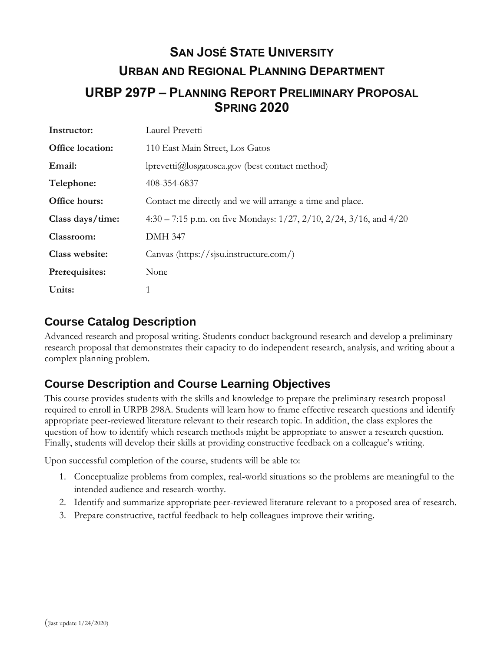# **SAN JOSÉ STATE UNIVERSITY URBAN AND REGIONAL PLANNING DEPARTMENT URBP 297P – PLANNING REPORT PRELIMINARY PROPOSAL SPRING 2020**

| Instructor:      | Laurel Prevetti                                                                  |  |  |
|------------------|----------------------------------------------------------------------------------|--|--|
| Office location: | 110 East Main Street, Los Gatos                                                  |  |  |
| Email:           | $\text{lprevetti}(a) \text{logatosca.gov}$ (best contact method)                 |  |  |
| Telephone:       | 408-354-6837                                                                     |  |  |
| Office hours:    | Contact me directly and we will arrange a time and place.                        |  |  |
| Class days/time: | 4:30 – 7:15 p.m. on five Mondays: $1/27$ , $2/10$ , $2/24$ , $3/16$ , and $4/20$ |  |  |
| Classroom:       | <b>DMH 347</b>                                                                   |  |  |
| Class website:   | Canvas (https://sisu.instructure.com/)                                           |  |  |
| Prerequisites:   | None                                                                             |  |  |
| Units:           | 1                                                                                |  |  |

### **Course Catalog Description**

Advanced research and proposal writing. Students conduct background research and develop a preliminary research proposal that demonstrates their capacity to do independent research, analysis, and writing about a complex planning problem.

# **Course Description and Course Learning Objectives**

This course provides students with the skills and knowledge to prepare the preliminary research proposal required to enroll in URPB 298A. Students will learn how to frame effective research questions and identify appropriate peer-reviewed literature relevant to their research topic. In addition, the class explores the question of how to identify which research methods might be appropriate to answer a research question. Finally, students will develop their skills at providing constructive feedback on a colleague's writing.

Upon successful completion of the course, students will be able to:

- 1. Conceptualize problems from complex, real-world situations so the problems are meaningful to the intended audience and research-worthy.
- 2. Identify and summarize appropriate peer-reviewed literature relevant to a proposed area of research.
- 3. Prepare constructive, tactful feedback to help colleagues improve their writing.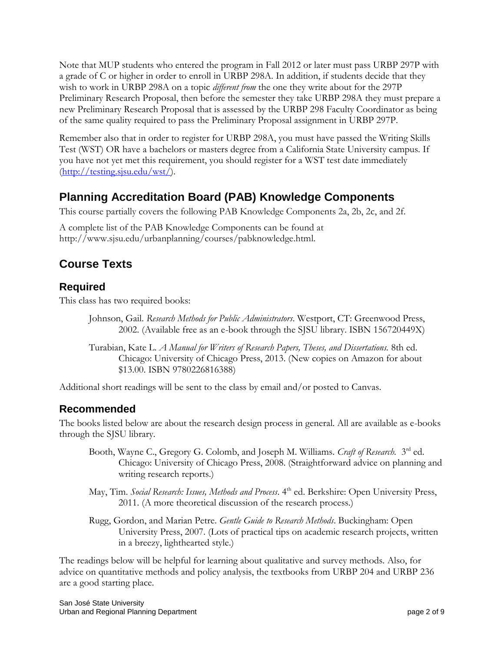Note that MUP students who entered the program in Fall 2012 or later must pass URBP 297P with a grade of C or higher in order to enroll in URBP 298A. In addition, if students decide that they wish to work in URBP 298A on a topic *different from* the one they write about for the 297P Preliminary Research Proposal, then before the semester they take URBP 298A they must prepare a new Preliminary Research Proposal that is assessed by the URBP 298 Faculty Coordinator as being of the same quality required to pass the Preliminary Proposal assignment in URBP 297P.

Remember also that in order to register for URBP 298A, you must have passed the Writing Skills Test (WST) OR have a bachelors or masters degree from a California State University campus. If you have not yet met this requirement, you should register for a WST test date immediately  $(\frac{http://testing.sjsu.edu/wst/}{$ .

## **Planning Accreditation Board (PAB) Knowledge Components**

This course partially covers the following PAB Knowledge Components 2a, 2b, 2c, and 2f.

A complete list of the PAB Knowledge Components can be found at [http://www.sjsu.edu/urbanplanning/courses/pabknowledge.html.](http://www.sjsu.edu/urbanplanning/courses/pabknowledge.html)

### **Course Texts**

#### **Required**

This class has two required books:

- Johnson, Gail. *Research Methods for Public Administrators*. Westport, CT: Greenwood Press, 2002. (Available free as an e-book through the SJSU library. ISBN 156720449X)
- Turabian, Kate L. *A Manual for Writers of Research Papers, Theses, and Dissertations.* 8th ed. Chicago: University of Chicago Press, 2013. (New copies on Amazon for about \$13.00. ISBN 9780226816388)

Additional short readings will be sent to the class by email and/or posted to Canvas.

### **Recommended**

The books listed below are about the research design process in general. All are available as e-books through the SJSU library.

- Booth, Wayne C., Gregory G. Colomb, and Joseph M. Williams. *Craft of Research*. <sup>3rd</sup> ed. Chicago: University of Chicago Press, 2008. (Straightforward advice on planning and writing research reports.)
- May, Tim. *Social Research: Issues, Methods and Process*. 4<sup>th</sup> ed. Berkshire: Open University Press, 2011. (A more theoretical discussion of the research process.)
- Rugg, Gordon, and Marian Petre. *Gentle Guide to Research Methods*. Buckingham: Open University Press, 2007. (Lots of practical tips on academic research projects, written in a breezy, lighthearted style.)

The readings below will be helpful for learning about qualitative and survey methods. Also, for advice on quantitative methods and policy analysis, the textbooks from URBP 204 and URBP 236 are a good starting place.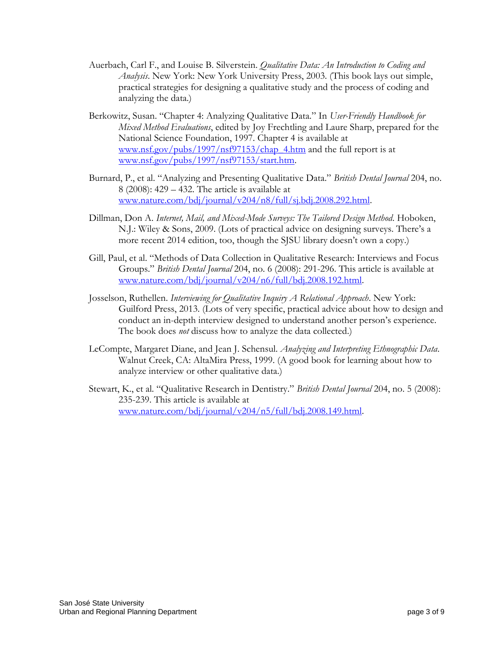- Auerbach, Carl F., and Louise B. Silverstein. *Qualitative Data: An Introduction to Coding and Analysis*. New York: New York University Press, 2003. (This book lays out simple, practical strategies for designing a qualitative study and the process of coding and analyzing the data.)
- Berkowitz, Susan. "Chapter 4: Analyzing Qualitative Data." In *User-Friendly Handbook for Mixed Method Evaluations*, edited by Joy Frechtling and Laure Sharp, prepared for the National Science Foundation, 1997. Chapter 4 is available at [www.nsf.gov/pubs/1997/nsf97153/chap\\_4.htm](file:///C:/Users/Home/Downloads/www.nsf.gov/pubs/1997/nsf97153/chap_4.htm) and the full report is at [www.nsf.gov/pubs/1997/nsf97153/start.htm.](file:///C:/Users/Home/Downloads/www.nsf.gov/pubs/1997/nsf97153/start.htm)
- Burnard, P., et al. "Analyzing and Presenting Qualitative Data." *British Dental Journal* 204, no. 8 (2008): 429 – 432. The article is available at [www.nature.com/bdj/journal/v204/n8/full/sj.bdj.2008.292.html.](file:///C:/Users/Home/Downloads/www.nature.com/bdj/journal/v204/n8/full/sj.bdj.2008.292.html)
- Dillman, Don A. *Internet, Mail, and Mixed-Mode Surveys: The Tailored Design Method*. Hoboken, N.J.: Wiley & Sons, 2009. (Lots of practical advice on designing surveys. There's a more recent 2014 edition, too, though the SJSU library doesn't own a copy.)
- Gill, Paul, et al. "Methods of Data Collection in Qualitative Research: Interviews and Focus Groups." *British Dental Journal* 204, no. 6 (2008): 291-296. This article is available at [www.nature.com/bdj/journal/v204/n6/full/bdj.2008.192.html.](file:///C:/Users/Home/Downloads/www.nature.com/bdj/journal/v204/n6/full/bdj.2008.192.html)
- Josselson, Ruthellen. *Interviewing for Qualitative Inquiry A Relational Approach*. New York: Guilford Press, 2013. (Lots of very specific, practical advice about how to design and conduct an in-depth interview designed to understand another person's experience. The book does *not* discuss how to analyze the data collected.)
- LeCompte, Margaret Diane, and Jean J. Schensul. *Analyzing and Interpreting Ethnographic Data*. Walnut Creek, CA: AltaMira Press, 1999. (A good book for learning about how to analyze interview or other qualitative data.)
- Stewart, K., et al. "Qualitative Research in Dentistry." *British Dental Journal* 204, no. 5 (2008): 235-239. This article is available at [www.nature.com/bdj/journal/v204/n5/full/bdj.2008.149.html.](file:///C:/Users/Home/Downloads/www.nature.com/bdj/journal/v204/n5/full/bdj.2008.149.html)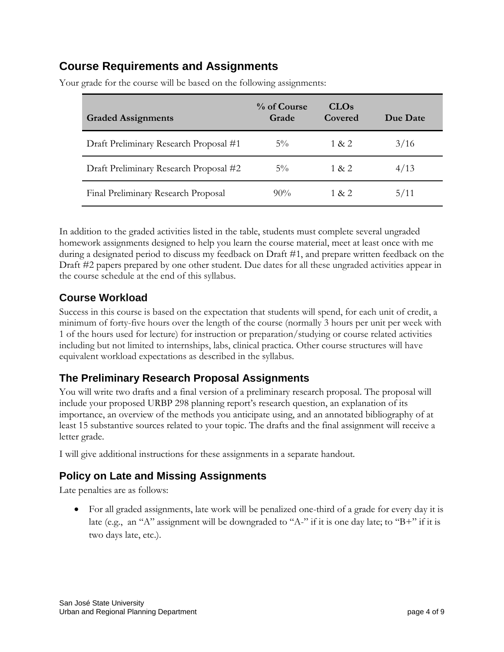### **Course Requirements and Assignments**

| <b>Graded Assignments</b>              | % of Course<br>Grade | <b>CLOs</b><br>Covered | Due Date |
|----------------------------------------|----------------------|------------------------|----------|
| Draft Preliminary Research Proposal #1 | $5\%$                | 1 & 2                  | 3/16     |
| Draft Preliminary Research Proposal #2 | $5\%$                | 1 & 2                  | 4/13     |
| Final Preliminary Research Proposal    | $90\%$               | 1 & 2                  | 5/11     |

Your grade for the course will be based on the following assignments:

In addition to the graded activities listed in the table, students must complete several ungraded homework assignments designed to help you learn the course material, meet at least once with me during a designated period to discuss my feedback on Draft #1, and prepare written feedback on the Draft #2 papers prepared by one other student. Due dates for all these ungraded activities appear in the course schedule at the end of this syllabus.

### **Course Workload**

Success in this course is based on the expectation that students will spend, for each unit of credit, a minimum of forty-five hours over the length of the course (normally 3 hours per unit per week with 1 of the hours used for lecture) for instruction or preparation/studying or course related activities including but not limited to internships, labs, clinical practica. Other course structures will have equivalent workload expectations as described in the syllabus.

### **The Preliminary Research Proposal Assignments**

You will write two drafts and a final version of a preliminary research proposal. The proposal will include your proposed URBP 298 planning report's research question, an explanation of its importance, an overview of the methods you anticipate using, and an annotated bibliography of at least 15 substantive sources related to your topic. The drafts and the final assignment will receive a letter grade.

I will give additional instructions for these assignments in a separate handout.

### **Policy on Late and Missing Assignments**

Late penalties are as follows:

• For all graded assignments, late work will be penalized one-third of a grade for every day it is late (e.g., an "A" assignment will be downgraded to "A-" if it is one day late; to "B+" if it is two days late, etc.).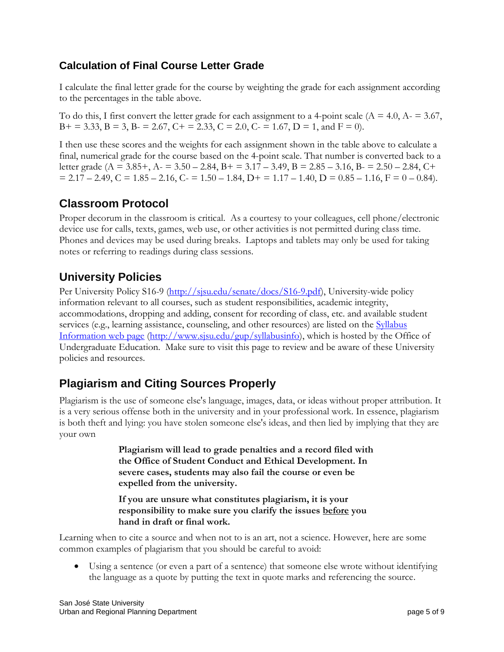### **Calculation of Final Course Letter Grade**

I calculate the final letter grade for the course by weighting the grade for each assignment according to the percentages in the table above.

To do this, I first convert the letter grade for each assignment to a 4-point scale  $(A = 4.0, A = 3.67, A)$  $B+= 3.33, B = 3, B = 2.67, C+= 2.33, C = 2.0, C = 1.67, D = 1, and F = 0.$ 

I then use these scores and the weights for each assignment shown in the table above to calculate a final, numerical grade for the course based on the 4-point scale. That number is converted back to a letter grade (A = 3.85+, A = 3.50 – 2.84, B + = 3.17 – 3.49, B = 2.85 – 3.16, B =  $2.50 - 2.84$ , C +  $= 2.17 - 2.49$ ,  $C = 1.85 - 2.16$ ,  $C = 1.50 - 1.84$ ,  $D_1 = 1.17 - 1.40$ ,  $D = 0.85 - 1.16$ ,  $F = 0 - 0.84$ ).

# **Classroom Protocol**

Proper decorum in the classroom is critical. As a courtesy to your colleagues, cell phone/electronic device use for calls, texts, games, web use, or other activities is not permitted during class time. Phones and devices may be used during breaks. Laptops and tablets may only be used for taking notes or referring to readings during class sessions.

### **University Policies**

Per University Policy S16-9 [\(http://sjsu.edu/senate/docs/S16-9.pdf\)](http://sjsu.edu/senate/docs/S16-9.pdf), University-wide policy information relevant to all courses, such as student responsibilities, academic integrity, accommodations, dropping and adding, consent for recording of class, etc. and available student services (e.g., learning assistance, counseling, and other resources) are listed on the Syllabus [Information web page](http://www.sjsu.edu/gup/syllabusinfo/) [\(http://www.sjsu.edu/gup/syllabusinfo\)](http://www.sjsu.edu/gup/syllabusinfo), which is hosted by the Office of Undergraduate Education. Make sure to visit this page to review and be aware of these University policies and resources.

## **Plagiarism and Citing Sources Properly**

Plagiarism is the use of someone else's language, images, data, or ideas without proper attribution. It is a very serious offense both in the university and in your professional work. In essence, plagiarism is both theft and lying: you have stolen someone else's ideas, and then lied by implying that they are your own

> **Plagiarism will lead to grade penalties and a record filed with the Office of Student Conduct and Ethical Development. In severe cases, students may also fail the course or even be expelled from the university.**

**If you are unsure what constitutes plagiarism, it is your responsibility to make sure you clarify the issues before you hand in draft or final work.**

Learning when to cite a source and when not to is an art, not a science. However, here are some common examples of plagiarism that you should be careful to avoid:

• Using a sentence (or even a part of a sentence) that someone else wrote without identifying the language as a quote by putting the text in quote marks and referencing the source.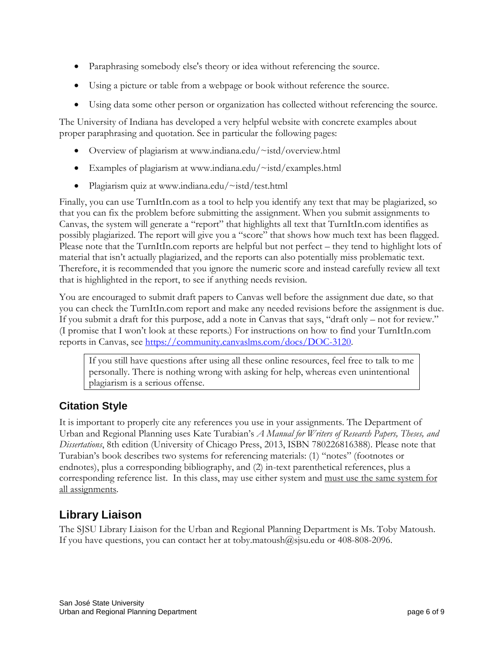- Paraphrasing somebody else's theory or idea without referencing the source.
- Using a picture or table from a webpage or book without reference the source.
- Using data some other person or organization has collected without referencing the source.

The University of Indiana has developed a very helpful website with concrete examples about proper paraphrasing and quotation. See in particular the following pages:

- Overview of plagiarism at [www.indiana.edu/~istd/overview.html](http://www.indiana.edu/~istd/overview.html)
- Examples of plagiarism at [www.indiana.edu/~istd/examples.html](http://www.indiana.edu/~istd/examples.html)
- Plagiarism quiz at [www.indiana.edu/~istd/test.html](http://www.indiana.edu/~istd/test.html)

Finally, you can use TurnItIn.com as a tool to help you identify any text that may be plagiarized, so that you can fix the problem before submitting the assignment. When you submit assignments to Canvas, the system will generate a "report" that highlights all text that TurnItIn.com identifies as possibly plagiarized. The report will give you a "score" that shows how much text has been flagged. Please note that the TurnItIn.com reports are helpful but not perfect – they tend to highlight lots of material that isn't actually plagiarized, and the reports can also potentially miss problematic text. Therefore, it is recommended that you ignore the numeric score and instead carefully review all text that is highlighted in the report, to see if anything needs revision.

You are encouraged to submit draft papers to Canvas well before the assignment due date, so that you can check the TurnItIn.com report and make any needed revisions before the assignment is due. If you submit a draft for this purpose, add a note in Canvas that says, "draft only – not for review." (I promise that I won't look at these reports.) For instructions on how to find your TurnItIn.com reports in Canvas, see [https://community.canvaslms.com/docs/DOC-3120.](https://community.canvaslms.com/docs/DOC-3120)

If you still have questions after using all these online resources, feel free to talk to me personally. There is nothing wrong with asking for help, whereas even unintentional plagiarism is a serious offense.

### **Citation Style**

It is important to properly cite any references you use in your assignments. The Department of Urban and Regional Planning uses Kate Turabian's *A Manual for Writers of Research Papers, Theses, and Dissertations*, 8th edition (University of Chicago Press, 2013, ISBN 780226816388). Please note that Turabian's book describes two systems for referencing materials: (1) "notes" (footnotes or endnotes), plus a corresponding bibliography, and (2) in-text parenthetical references, plus a corresponding reference list. In this class, may use either system and must use the same system for all assignments.

## **Library Liaison**

The SJSU Library Liaison for the Urban and Regional Planning Department is Ms. Toby Matoush. If you have questions, you can contact her at [toby.matoush@sjsu.edu](mailto:toby.matoush@sjsu.edu) or 408-808-2096.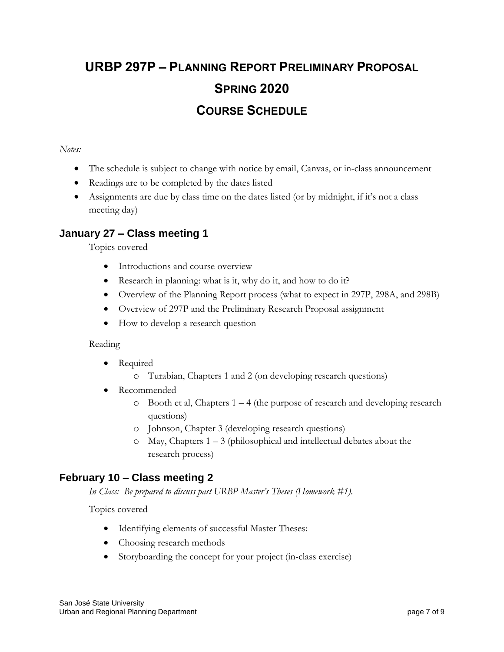# **URBP 297P – PLANNING REPORT PRELIMINARY PROPOSAL SPRING 2020 COURSE SCHEDULE**

#### *Notes:*

- The schedule is subject to change with notice by email, Canvas, or in-class announcement
- Readings are to be completed by the dates listed
- Assignments are due by class time on the dates listed (or by midnight, if it's not a class meeting day)

#### **January 27 – Class meeting 1**

Topics covered

- Introductions and course overview
- Research in planning: what is it, why do it, and how to do it?
- Overview of the Planning Report process (what to expect in 297P, 298A, and 298B)
- Overview of 297P and the Preliminary Research Proposal assignment
- How to develop a research question

#### Reading

- Required
	- o Turabian, Chapters 1 and 2 (on developing research questions)
- Recommended
	- $\circ$  Booth et al, Chapters 1 4 (the purpose of research and developing research questions)
	- o Johnson, Chapter 3 (developing research questions)
	- o May, Chapters 1 3 (philosophical and intellectual debates about the research process)

#### **February 10 – Class meeting 2**

*In Class: Be prepared to discuss past URBP Master's Theses (Homework #1).*

Topics covered

- Identifying elements of successful Master Theses:
- Choosing research methods
- Storyboarding the concept for your project (in-class exercise)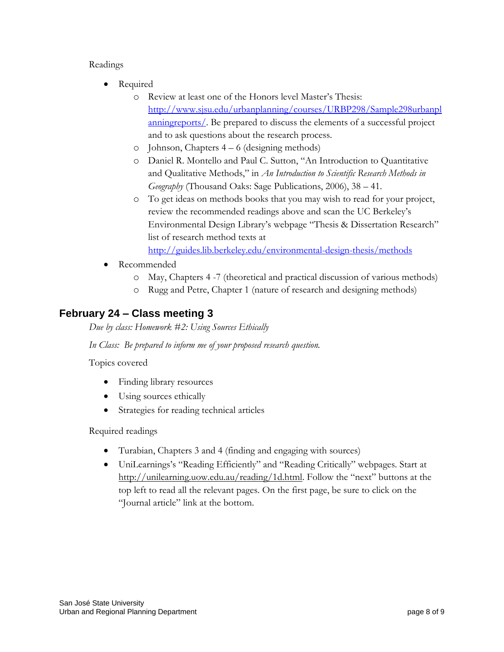#### Readings

- Required
	- o Review at least one of the Honors level Master's Thesis: [http://www.sjsu.edu/urbanplanning/courses/URBP298/Sample298urbanpl](http://www.sjsu.edu/urbanplanning/courses/URBP298/Sample298urbanplanningreports/) [anningreports/.](http://www.sjsu.edu/urbanplanning/courses/URBP298/Sample298urbanplanningreports/) Be prepared to discuss the elements of a successful project and to ask questions about the research process.
	- o Johnson, Chapters 4 6 (designing methods)
	- o Daniel R. Montello and Paul C. Sutton, "An Introduction to Quantitative and Qualitative Methods," in *An Introduction to Scientific Research Methods in Geography* (Thousand Oaks: Sage Publications, 2006), 38 – 41.
	- o To get ideas on methods books that you may wish to read for your project, review the recommended readings above and scan the UC Berkeley's Environmental Design Library's webpage "Thesis & Dissertation Research" list of research method texts at

<http://guides.lib.berkeley.edu/environmental-design-thesis/methods>

- Recommended
	- o May, Chapters 4 -7 (theoretical and practical discussion of various methods)
	- o Rugg and Petre, Chapter 1 (nature of research and designing methods)

#### **February 24 – Class meeting 3**

*Due by class: Homework #2: Using Sources Ethically*

*In Class: Be prepared to inform me of your proposed research question.*

Topics covered

- Finding library resources
- Using sources ethically
- Strategies for reading technical articles

Required readings

- Turabian, Chapters 3 and 4 (finding and engaging with sources)
- UniLearnings's "Reading Efficiently" and "Reading Critically" webpages. Start at <http://unilearning.uow.edu.au/reading/1d.html>. Follow the "next" buttons at the top left to read all the relevant pages. On the first page, be sure to click on the "Journal article" link at the bottom.